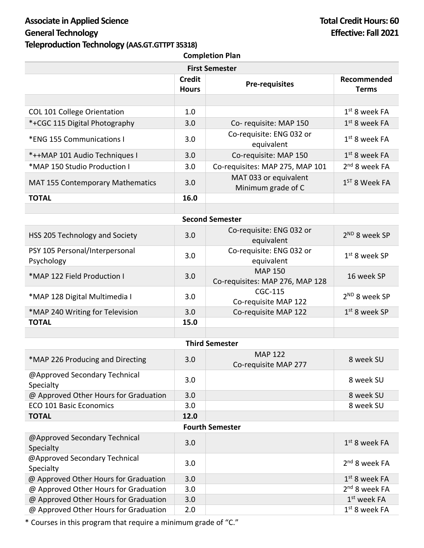# Associate in Applied Science **Total Credit Hours: 60 General Technology Effective: Fall 2021 Teleproduction Technology (AAS.GT.GTTPT 35318)**

| <b>Completion Plan</b>                       |               |                                                                |                           |  |  |  |
|----------------------------------------------|---------------|----------------------------------------------------------------|---------------------------|--|--|--|
| <b>First Semester</b>                        |               |                                                                |                           |  |  |  |
|                                              | <b>Credit</b> | <b>Pre-requisites</b>                                          | Recommended               |  |  |  |
|                                              | <b>Hours</b>  |                                                                | <b>Terms</b>              |  |  |  |
|                                              |               |                                                                |                           |  |  |  |
| COL 101 College Orientation                  | 1.0           |                                                                | $1st$ 8 week FA           |  |  |  |
| *+CGC 115 Digital Photography                | 3.0           | Co-requisite: MAP 150                                          | $1st$ 8 week FA           |  |  |  |
| *ENG 155 Communications I                    | 3.0           | Co-requisite: ENG 032 or<br>equivalent                         | $1st$ 8 week FA           |  |  |  |
| *++MAP 101 Audio Techniques I                | 3.0           | Co-requisite: MAP 150                                          | $1st$ 8 week FA           |  |  |  |
| *MAP 150 Studio Production I                 | 3.0           | Co-requisites: MAP 275, MAP 101                                | 2 <sup>nd</sup> 8 week FA |  |  |  |
| <b>MAT 155 Contemporary Mathematics</b>      | 3.0           | MAT 033 or equivalent<br>$1ST$ 8 Week FA<br>Minimum grade of C |                           |  |  |  |
| <b>TOTAL</b>                                 | 16.0          |                                                                |                           |  |  |  |
|                                              |               |                                                                |                           |  |  |  |
|                                              |               | <b>Second Semester</b>                                         |                           |  |  |  |
| HSS 205 Technology and Society               | 3.0           | Co-requisite: ENG 032 or<br>equivalent                         | 2 <sup>ND</sup> 8 week SP |  |  |  |
| PSY 105 Personal/Interpersonal<br>Psychology | 3.0           | Co-requisite: ENG 032 or<br>equivalent                         | $1st$ 8 week SP           |  |  |  |
| *MAP 122 Field Production I                  | 3.0           | <b>MAP 150</b><br>Co-requisites: MAP 276, MAP 128              | 16 week SP                |  |  |  |
| *MAP 128 Digital Multimedia I                | 3.0           | CGC-115<br>Co-requisite MAP 122                                | 2 <sup>ND</sup> 8 week SP |  |  |  |
| *MAP 240 Writing for Television              | 3.0           | Co-requisite MAP 122                                           | $1st$ 8 week SP           |  |  |  |
| <b>TOTAL</b>                                 | 15.0          |                                                                |                           |  |  |  |
|                                              |               |                                                                |                           |  |  |  |
|                                              |               | <b>Third Semester</b>                                          |                           |  |  |  |
| *MAP 226 Producing and Directing             | 3.0           | <b>MAP 122</b><br>Co-requisite MAP 277                         | 8 week SU                 |  |  |  |
| @Approved Secondary Technical<br>Specialty   | 3.0           |                                                                | 8 week SU                 |  |  |  |
| @ Approved Other Hours for Graduation        | 3.0           |                                                                | 8 week SU                 |  |  |  |
| <b>ECO 101 Basic Economics</b>               | 3.0           |                                                                | 8 week SU                 |  |  |  |
| <b>TOTAL</b>                                 | 12.0          |                                                                |                           |  |  |  |
| <b>Fourth Semester</b>                       |               |                                                                |                           |  |  |  |
| @Approved Secondary Technical<br>Specialty   | 3.0           |                                                                | 1st 8 week FA             |  |  |  |
| @Approved Secondary Technical<br>Specialty   | 3.0           |                                                                | 2 <sup>nd</sup> 8 week FA |  |  |  |
| @ Approved Other Hours for Graduation        | 3.0           |                                                                | $1st$ 8 week FA           |  |  |  |
| @ Approved Other Hours for Graduation        | 3.0           |                                                                | 2 <sup>nd</sup> 8 week FA |  |  |  |
| @ Approved Other Hours for Graduation        | 3.0           |                                                                | $1st$ week FA             |  |  |  |
| @ Approved Other Hours for Graduation        | 2.0           |                                                                | $1st$ 8 week FA           |  |  |  |

\* Courses in this program that require a minimum grade of "C."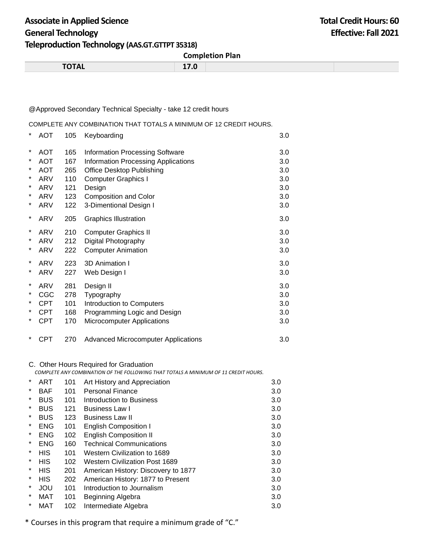## Associate in Applied Science **Total Credit Hours: 60 General Technology Effective: Fall 2021 Teleproduction Technology (AAS.GT.GTTPT 35318)**

**Completion Plan**

| -----<br>. | $- - - -$ |  |
|------------|-----------|--|
|            |           |  |

## @Approved Secondary Technical Specialty - take 12 credit hours

COMPLETE ANY COMBINATION THAT TOTALS A MINIMUM OF 12 CREDIT HOURS.

| $\star$  | <b>AOT</b> | 105 | Keyboarding                                | 3.0 |
|----------|------------|-----|--------------------------------------------|-----|
| $^\ast$  | <b>AOT</b> | 165 | <b>Information Processing Software</b>     | 3.0 |
| *        | <b>AOT</b> | 167 | <b>Information Processing Applications</b> | 3.0 |
| *        | <b>AOT</b> | 265 | <b>Office Desktop Publishing</b>           | 3.0 |
| $^\star$ | ARV        | 110 | <b>Computer Graphics I</b>                 | 3.0 |
| *        | ARV        | 121 | Design                                     | 3.0 |
| $^\star$ | ARV        | 123 | <b>Composition and Color</b>               | 3.0 |
| *        | ARV        | 122 | 3-Dimentional Design I                     | 3.0 |
| *        | ARV        | 205 | <b>Graphics Illustration</b>               | 3.0 |
| $\star$  | ARV        | 210 | <b>Computer Graphics II</b>                | 3.0 |
| $\star$  | ARV        | 212 | Digital Photography                        | 3.0 |
| $\star$  | ARV        | 222 | <b>Computer Animation</b>                  | 3.0 |
| $\star$  | ARV        | 223 | 3D Animation I                             | 3.0 |
| $\star$  | ARV        | 227 | Web Design I                               | 3.0 |
| $^\ast$  | ARV        | 281 | Design II                                  | 3.0 |
| *        | <b>CGC</b> | 278 | Typography                                 | 3.0 |
| *        | <b>CPT</b> | 101 | Introduction to Computers                  | 3.0 |
| *        | <b>CPT</b> | 168 | Programming Logic and Design               | 3.0 |
| *        | <b>CPT</b> | 170 | <b>Microcomputer Applications</b>          | 3.0 |
| $\ast$   | <b>CPT</b> | 270 | <b>Advanced Microcomputer Applications</b> | 3.0 |

### C. Other Hours Required for Graduation

 *COMPLETE ANY COMBINATION OF THE FOLLOWING THAT TOTALS A MINIMUM OF 11 CREDIT HOURS.*

| $\ast$ | ART        | 101 | Art History and Appreciation          | 3.0 |
|--------|------------|-----|---------------------------------------|-----|
| *      | <b>BAF</b> | 101 | <b>Personal Finance</b>               | 3.0 |
| *      | <b>BUS</b> | 101 | Introduction to Business              | 3.0 |
| $\ast$ | <b>BUS</b> | 121 | <b>Business Law I</b>                 | 3.0 |
| *      | <b>BUS</b> | 123 | <b>Business Law II</b>                | 3.0 |
| *      | <b>ENG</b> | 101 | <b>English Composition I</b>          | 3.0 |
| *      | <b>ENG</b> | 102 | <b>English Composition II</b>         | 3.0 |
| *      | <b>ENG</b> | 160 | <b>Technical Communications</b>       | 3.0 |
| *      | <b>HIS</b> | 101 | Western Civilization to 1689          | 3.0 |
| *      | HIS        | 102 | <b>Western Civilization Post 1689</b> | 3.0 |
| *      | <b>HIS</b> | 201 | American History: Discovery to 1877   | 3.0 |
| *      | <b>HIS</b> | 202 | American History: 1877 to Present     | 3.0 |
| *      | JOU        | 101 | Introduction to Journalism            | 3.0 |
| *      | MAT        | 101 | Beginning Algebra                     | 3.0 |
| *      | MAT        | 102 | Intermediate Algebra                  | 3.0 |

\* Courses in this program that require a minimum grade of "C."